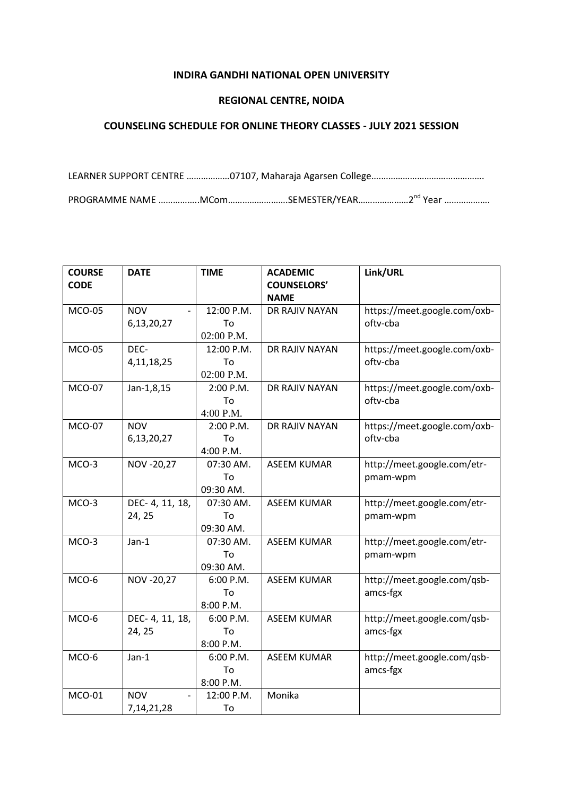## **INDIRA GANDHI NATIONAL OPEN UNIVERSITY**

## **REGIONAL CENTRE, NOIDA**

## **COUNSELING SCHEDULE FOR ONLINE THEORY CLASSES - JULY 2021 SESSION**

LEARNER SUPPORT CENTRE ………………07107, Maharaja Agarsen College….……………………………………. PROGRAMME NAME ………………MCom……………………SEMESTER/YEAR…………………2<sup>nd</sup> Year …………………

| <b>COURSE</b> | <b>DATE</b>     | <b>TIME</b> | <b>ACADEMIC</b>    | Link/URL                     |
|---------------|-----------------|-------------|--------------------|------------------------------|
| <b>CODE</b>   |                 |             | <b>COUNSELORS'</b> |                              |
|               |                 |             | <b>NAME</b>        |                              |
| <b>MCO-05</b> | <b>NOV</b>      | 12:00 P.M.  | DR RAJIV NAYAN     | https://meet.google.com/oxb- |
|               | 6,13,20,27      | To          |                    | oftv-cba                     |
|               |                 | 02:00 P.M.  |                    |                              |
| <b>MCO-05</b> | DEC-            | 12:00 P.M.  | DR RAJIV NAYAN     | https://meet.google.com/oxb- |
|               | 4, 11, 18, 25   | To          |                    | oftv-cba                     |
|               |                 | 02:00 P.M.  |                    |                              |
| <b>MCO-07</b> | Jan-1,8,15      | 2:00 P.M.   | DR RAJIV NAYAN     | https://meet.google.com/oxb- |
|               |                 | To          |                    | oftv-cba                     |
|               |                 | 4:00 P.M.   |                    |                              |
| <b>MCO-07</b> | <b>NOV</b>      | 2:00 P.M.   | DR RAJIV NAYAN     | https://meet.google.com/oxb- |
|               | 6,13,20,27      | To          |                    | oftv-cba                     |
|               |                 | 4:00 P.M.   |                    |                              |
| MCO-3         | NOV -20,27      | 07:30 AM.   | <b>ASEEM KUMAR</b> | http://meet.google.com/etr-  |
|               |                 | To          |                    | pmam-wpm                     |
|               |                 | 09:30 AM.   |                    |                              |
| MCO-3         | DEC- 4, 11, 18, | 07:30 AM.   | <b>ASEEM KUMAR</b> | http://meet.google.com/etr-  |
|               | 24, 25          | To          |                    | pmam-wpm                     |
|               |                 | 09:30 AM.   |                    |                              |
| MCO-3         | $Jan-1$         | 07:30 AM.   | <b>ASEEM KUMAR</b> | http://meet.google.com/etr-  |
|               |                 | To          |                    | pmam-wpm                     |
|               |                 | 09:30 AM.   |                    |                              |
| MCO-6         | NOV -20,27      | 6:00 P.M.   | <b>ASEEM KUMAR</b> | http://meet.google.com/qsb-  |
|               |                 | To          |                    | amcs-fgx                     |
|               |                 | 8:00 P.M.   |                    |                              |
| MCO-6         | DEC- 4, 11, 18, | 6:00 P.M.   | <b>ASEEM KUMAR</b> | http://meet.google.com/qsb-  |
|               | 24, 25          | To          |                    | amcs-fgx                     |
|               |                 | 8:00 P.M.   |                    |                              |
| MCO-6         | $Jan-1$         | 6:00 P.M.   | <b>ASEEM KUMAR</b> | http://meet.google.com/qsb-  |
|               |                 | To          |                    | amcs-fgx                     |
|               |                 | 8:00 P.M.   |                    |                              |
| <b>MCO-01</b> | <b>NOV</b>      | 12:00 P.M.  | Monika             |                              |
|               | 7, 14, 21, 28   | To          |                    |                              |